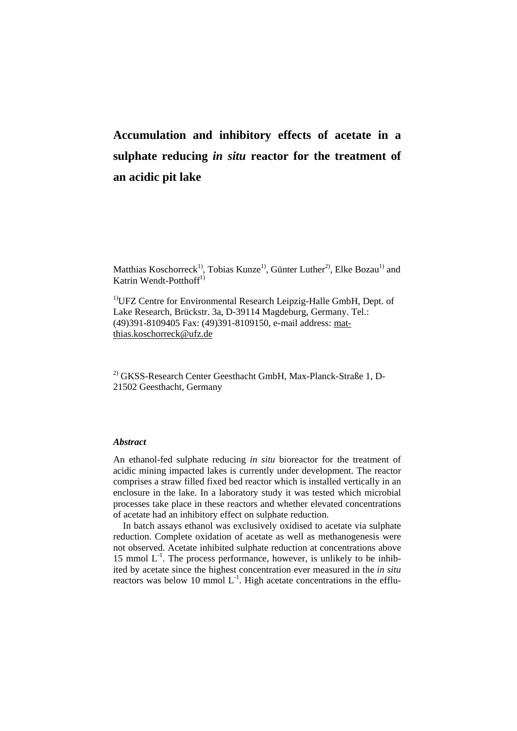# **Accumulation and inhibitory effects of acetate in a sulphate reducing** *in situ* **reactor for the treatment of an acidic pit lake**

Matthias Koschorreck<sup>1)</sup>, Tobias Kunze<sup>1)</sup>, Günter Luther<sup>2)</sup>, Elke Bozau<sup>1)</sup> and Katrin Wendt-Potthoff<sup>1)</sup>

<sup>1)</sup>UFZ Centre for Environmental Research Leipzig-Halle GmbH, Dept. of Lake Research, Brückstr. 3a, D-39114 Magdeburg, Germany. Tel.: (49)391-8109405 Fax: (49)391-8109150, e-mail address: matthias.koschorreck@ufz.de

2) GKSS-Research Center Geesthacht GmbH, Max-Planck-Straße 1, D-21502 Geesthacht, Germany

## *Abstract*

An ethanol-fed sulphate reducing *in situ* bioreactor for the treatment of acidic mining impacted lakes is currently under development. The reactor comprises a straw filled fixed bed reactor which is installed vertically in an enclosure in the lake. In a laboratory study it was tested which microbial processes take place in these reactors and whether elevated concentrations of acetate had an inhibitory effect on sulphate reduction.

In batch assays ethanol was exclusively oxidised to acetate via sulphate reduction. Complete oxidation of acetate as well as methanogenesis were not observed. Acetate inhibited sulphate reduction at concentrations above 15 mmol  $L^{-1}$ . The process performance, however, is unlikely to be inhibited by acetate since the highest concentration ever measured in the *in situ* reactors was below 10 mmol  $L^{-1}$ . High acetate concentrations in the efflu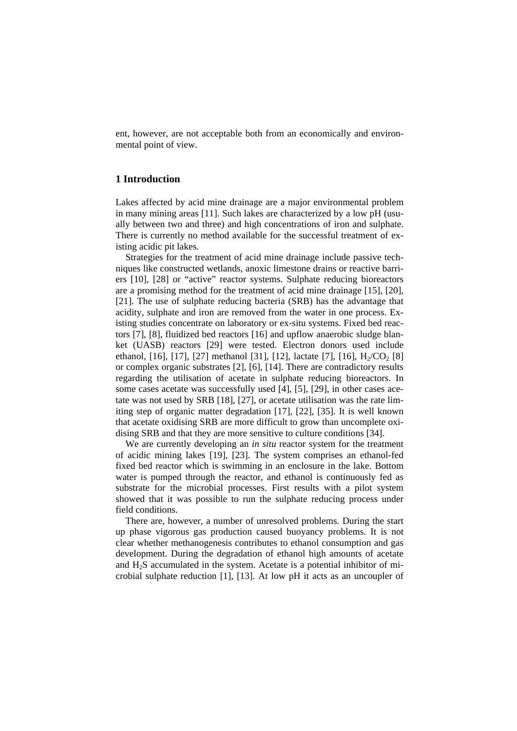ent, however, are not acceptable both from an economically and environmental point of view.

# **1 Introduction**

Lakes affected by acid mine drainage are a major environmental problem in many mining areas [11]. Such lakes are characterized by a low pH (usually between two and three) and high concentrations of iron and sulphate. There is currently no method available for the successful treatment of existing acidic pit lakes.

Strategies for the treatment of acid mine drainage include passive techniques like constructed wetlands, anoxic limestone drains or reactive barriers [10], [28] or "active" reactor systems. Sulphate reducing bioreactors are a promising method for the treatment of acid mine drainage [15], [20], [21]. The use of sulphate reducing bacteria (SRB) has the advantage that acidity, sulphate and iron are removed from the water in one process. Existing studies concentrate on laboratory or ex-situ systems. Fixed bed reactors [7], [8], fluidized bed reactors [16] and upflow anaerobic sludge blanket (UASB) reactors [29] were tested. Electron donors used include ethanol, [16], [17], [27] methanol [31], [12], lactate [7], [16],  $H_2/CO_2$  [8] or complex organic substrates [2], [6], [14]. There are contradictory results regarding the utilisation of acetate in sulphate reducing bioreactors. In some cases acetate was successfully used [4], [5], [29], in other cases acetate was not used by SRB [18], [27], or acetate utilisation was the rate limiting step of organic matter degradation [17], [22], [35]. It is well known that acetate oxidising SRB are more difficult to grow than uncomplete oxidising SRB and that they are more sensitive to culture conditions [34].

We are currently developing an *in situ* reactor system for the treatment of acidic mining lakes [19], [23]. The system comprises an ethanol-fed fixed bed reactor which is swimming in an enclosure in the lake. Bottom water is pumped through the reactor, and ethanol is continuously fed as substrate for the microbial processes. First results with a pilot system showed that it was possible to run the sulphate reducing process under field conditions.

There are, however, a number of unresolved problems. During the start up phase vigorous gas production caused buoyancy problems. It is not clear whether methanogenesis contributes to ethanol consumption and gas development. During the degradation of ethanol high amounts of acetate and H2S accumulated in the system. Acetate is a potential inhibitor of microbial sulphate reduction [1], [13]. At low pH it acts as an uncoupler of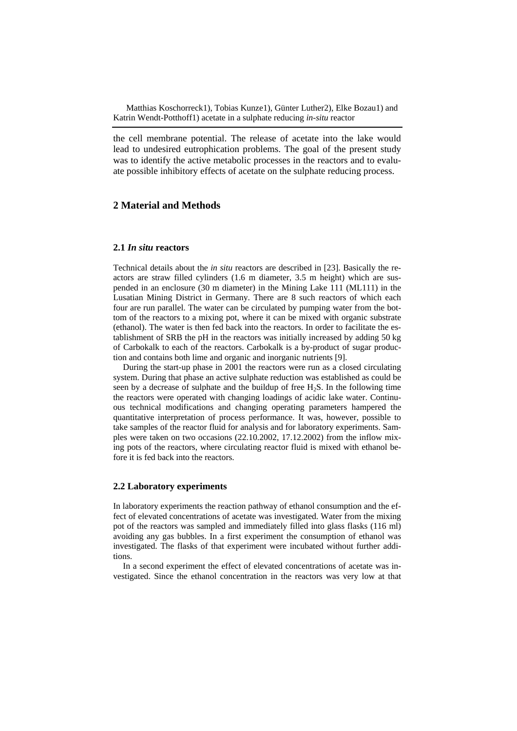the cell membrane potential. The release of acetate into the lake would lead to undesired eutrophication problems. The goal of the present study was to identify the active metabolic processes in the reactors and to evaluate possible inhibitory effects of acetate on the sulphate reducing process.

# **2 Material and Methods**

#### **2.1** *In situ* **reactors**

Technical details about the *in situ* reactors are described in [23]. Basically the reactors are straw filled cylinders (1.6 m diameter, 3.5 m height) which are suspended in an enclosure (30 m diameter) in the Mining Lake 111 (ML111) in the Lusatian Mining District in Germany. There are 8 such reactors of which each four are run parallel. The water can be circulated by pumping water from the bottom of the reactors to a mixing pot, where it can be mixed with organic substrate (ethanol). The water is then fed back into the reactors. In order to facilitate the establishment of SRB the pH in the reactors was initially increased by adding 50 kg of Carbokalk to each of the reactors. Carbokalk is a by-product of sugar production and contains both lime and organic and inorganic nutrients [9].

During the start-up phase in 2001 the reactors were run as a closed circulating system. During that phase an active sulphate reduction was established as could be seen by a decrease of sulphate and the buildup of free  $H_2S$ . In the following time the reactors were operated with changing loadings of acidic lake water. Continuous technical modifications and changing operating parameters hampered the quantitative interpretation of process performance. It was, however, possible to take samples of the reactor fluid for analysis and for laboratory experiments. Samples were taken on two occasions (22.10.2002, 17.12.2002) from the inflow mixing pots of the reactors, where circulating reactor fluid is mixed with ethanol before it is fed back into the reactors.

#### **2.2 Laboratory experiments**

In laboratory experiments the reaction pathway of ethanol consumption and the effect of elevated concentrations of acetate was investigated. Water from the mixing pot of the reactors was sampled and immediately filled into glass flasks (116 ml) avoiding any gas bubbles. In a first experiment the consumption of ethanol was investigated. The flasks of that experiment were incubated without further additions.

In a second experiment the effect of elevated concentrations of acetate was investigated. Since the ethanol concentration in the reactors was very low at that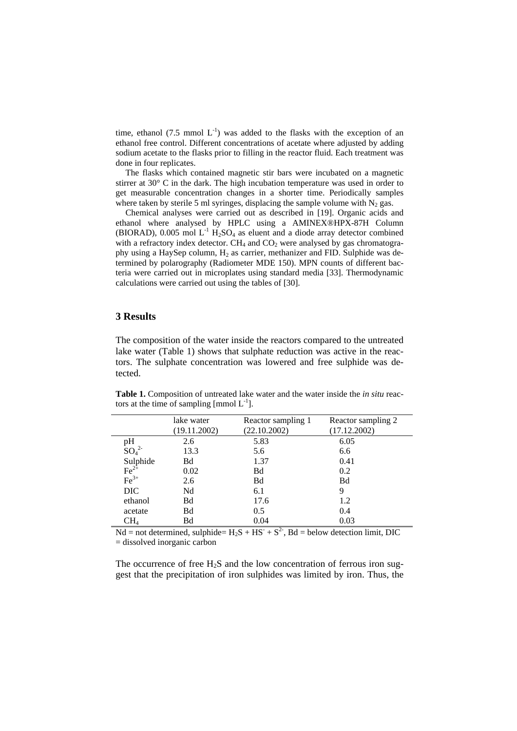time, ethanol (7.5 mmol  $L^{-1}$ ) was added to the flasks with the exception of an ethanol free control. Different concentrations of acetate where adjusted by adding sodium acetate to the flasks prior to filling in the reactor fluid. Each treatment was done in four replicates.

The flasks which contained magnetic stir bars were incubated on a magnetic stirrer at 30° C in the dark. The high incubation temperature was used in order to get measurable concentration changes in a shorter time. Periodically samples where taken by sterile 5 ml syringes, displacing the sample volume with  $N_2$  gas.

Chemical analyses were carried out as described in [19]. Organic acids and ethanol where analysed by HPLC using a AMINEX®HPX-87H Column (BIORAD), 0.005 mol  $L^{-1}$  H<sub>2</sub>SO<sub>4</sub> as eluent and a diode array detector combined with a refractory index detector.  $CH_4$  and  $CO_2$  were analysed by gas chromatography using a HaySep column,  $H_2$  as carrier, methanizer and FID. Sulphide was determined by polarography (Radiometer MDE 150). MPN counts of different bacteria were carried out in microplates using standard media [33]. Thermodynamic calculations were carried out using the tables of [30].

#### **3 Results**

The composition of the water inside the reactors compared to the untreated lake water (Table 1) shows that sulphate reduction was active in the reactors. The sulphate concentration was lowered and free sulphide was detected.

|                                    | lake water<br>(19.11.2002) | Reactor sampling 1<br>(22.10.2002) | Reactor sampling 2<br>(17.12.2002) |
|------------------------------------|----------------------------|------------------------------------|------------------------------------|
| pH                                 | 2.6                        | 5.83                               | 6.05                               |
| SO <sub>4</sub> <sup>2</sup>       | 13.3                       | 5.6                                | 6.6                                |
| Sulphide<br>$Fe^{2+}$<br>$Fe^{3+}$ | Bd                         | 1.37                               | 0.41                               |
|                                    | 0.02                       | Bd                                 | 0.2                                |
|                                    | 2.6                        | Bd                                 | Bd                                 |
| <b>DIC</b>                         | Nd                         | 6.1                                | 9                                  |
| ethanol                            | Bd                         | 17.6                               | 1.2                                |
| acetate                            | Bd                         | 0.5                                | 0.4                                |
| $\rm CH_{4}$                       | Bd                         | 0.04                               | 0.03                               |

**Table 1.** Composition of untreated lake water and the water inside the *in situ* reactors at the time of sampling  $\text{[mmol } L^{-1}$ ].

 $Nd = not determined, sulphide = H<sub>2</sub>S + HS<sup>-</sup> + S<sup>2</sup>$ , Bd = below detection limit, DIC = dissolved inorganic carbon

The occurrence of free  $H_2S$  and the low concentration of ferrous iron suggest that the precipitation of iron sulphides was limited by iron. Thus, the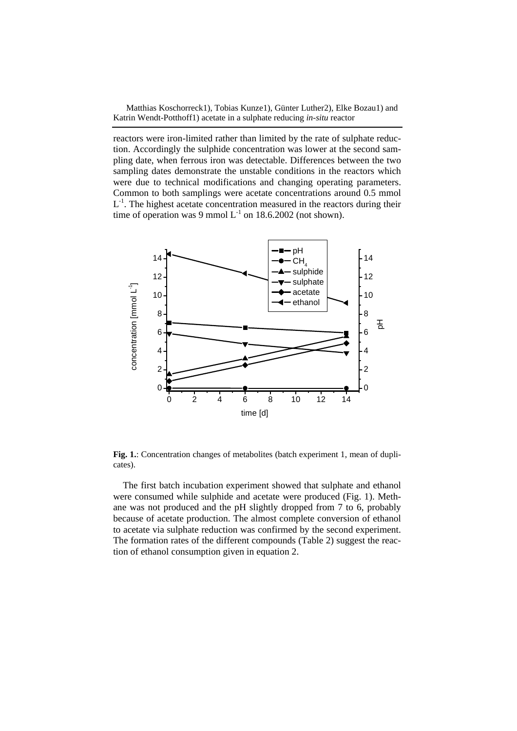reactors were iron-limited rather than limited by the rate of sulphate reduction. Accordingly the sulphide concentration was lower at the second sampling date, when ferrous iron was detectable. Differences between the two sampling dates demonstrate the unstable conditions in the reactors which were due to technical modifications and changing operating parameters. Common to both samplings were acetate concentrations around 0.5 mmol  $L^{-1}$ . The highest acetate concentration measured in the reactors during their time of operation was 9 mmol  $L^{-1}$  on 18.6.2002 (not shown).



**Fig. 1.**: Concentration changes of metabolites (batch experiment 1, mean of duplicates).

The first batch incubation experiment showed that sulphate and ethanol were consumed while sulphide and acetate were produced (Fig. 1). Methane was not produced and the pH slightly dropped from 7 to 6, probably because of acetate production. The almost complete conversion of ethanol to acetate via sulphate reduction was confirmed by the second experiment. The formation rates of the different compounds (Table 2) suggest the reaction of ethanol consumption given in equation 2.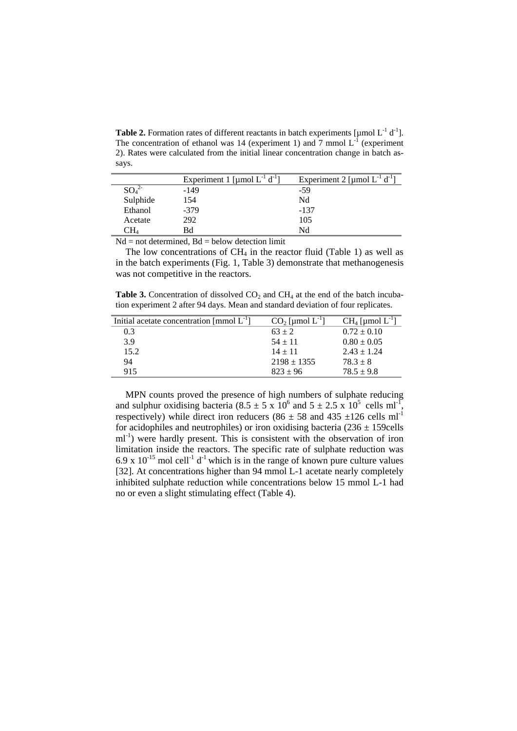**Table 2.** Formation rates of different reactants in batch experiments  $\lbrack \mu \text{mol } L^{-1} d^{-1} \rbrack$ . The concentration of ethanol was 14 (experiment 1) and  $\overline{7}$  mmol  $L^{-1}$  (experiment 2). Rates were calculated from the initial linear concentration change in batch assays.

|          | Experiment 1 [µmol $L^{-1} d^{-1}$ ] | Experiment 2 [µmol $L^{-1}$ d <sup>-1</sup> ] |
|----------|--------------------------------------|-----------------------------------------------|
| $SO_4^2$ | $-149$                               | -59                                           |
| Sulphide | 154                                  | Nd                                            |
| Ethanol  | $-379$                               | $-137$                                        |
| Acetate  | 292                                  | 105                                           |
| CН4      | Bd                                   | Nd                                            |
| ---      | .<br>.<br>.                          |                                               |

 $Nd = not determined, Bd = below detection limit$ 

The low concentrations of  $CH<sub>4</sub>$  in the reactor fluid (Table 1) as well as in the batch experiments (Fig. 1, Table 3) demonstrate that methanogenesis was not competitive in the reactors.

**Table 3.** Concentration of dissolved  $CO<sub>2</sub>$  and  $CH<sub>4</sub>$  at the end of the batch incubation experiment 2 after 94 days. Mean and standard deviation of four replicates.

| Initial acetate concentration [mmol $L^{-1}$ ] | $CO2$ [µmol $L^{-1}$ ] | $CH_4$ [µmol $L^{-1}$ ] |
|------------------------------------------------|------------------------|-------------------------|
| 0.3                                            | $63 + 2$               | $0.72 \pm 0.10$         |
| 3.9                                            | $54 \pm 11$            | $0.80 \pm 0.05$         |
| 15.2                                           | $14 + 11$              | $2.43 \pm 1.24$         |
| 94                                             | $2198 \pm 1355$        | $78.3 \pm 8$            |
| 915                                            | $823 \pm 96$           | $78.5 \pm 9.8$          |

MPN counts proved the presence of high numbers of sulphate reducing and sulphur oxidising bacteria (8.5  $\pm$  5 x 10<sup>6</sup> and 5  $\pm$  2.5 x 10<sup>5</sup> cells ml<sup>-1</sup>, respectively) while direct iron reducers (86  $\pm$  58 and 435  $\pm$ 126 cells ml<sup>-1</sup> for acidophiles and neutrophiles) or iron oxidising bacteria ( $236 \pm 159$ cells ml<sup>-1</sup>) were hardly present. This is consistent with the observation of iron limitation inside the reactors. The specific rate of sulphate reduction was 6.9 x  $10^{-15}$  mol cell<sup>-1</sup> d<sup>-1</sup> which is in the range of known pure culture values [32]. At concentrations higher than 94 mmol L-1 acetate nearly completely inhibited sulphate reduction while concentrations below 15 mmol L-1 had no or even a slight stimulating effect (Table 4).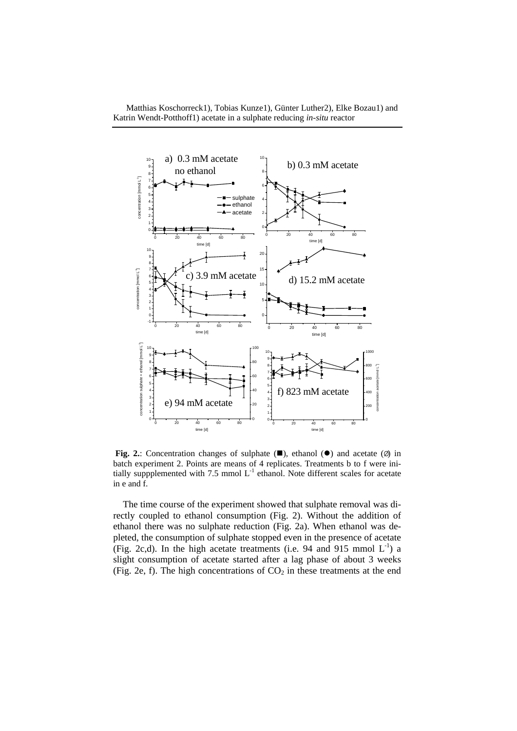

**Fig. 2.:** Concentration changes of sulphate  $(\blacksquare)$ , ethanol  $(\lozenge)$  and acetate  $(\emptyset)$  in batch experiment 2. Points are means of 4 replicates. Treatments b to f were initially suppplemented with 7.5 mmol  $L^{-1}$  ethanol. Note different scales for acetate in e and f.

The time course of the experiment showed that sulphate removal was directly coupled to ethanol consumption (Fig. 2). Without the addition of ethanol there was no sulphate reduction (Fig. 2a). When ethanol was depleted, the consumption of sulphate stopped even in the presence of acetate (Fig. 2c,d). In the high acetate treatments (i.e. 94 and 915 mmol  $L^{-1}$ ) a slight consumption of acetate started after a lag phase of about 3 weeks (Fig. 2e, f). The high concentrations of  $CO<sub>2</sub>$  in these treatments at the end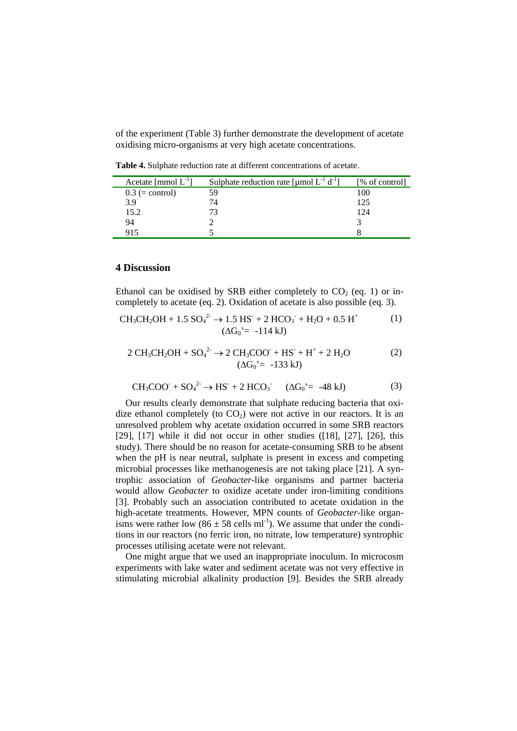of the experiment (Table 3) further demonstrate the development of acetate oxidising micro-organisms at very high acetate concentrations.

**Table 4.** Sulphate reduction rate at different concentrations of acetate.

| Acetate [mmol $L^{-1}$ ] | Sulphate reduction rate [µmol $L^{-1}$ d <sup>-1</sup> ] | [% of control] |
|--------------------------|----------------------------------------------------------|----------------|
| $0.3$ (= control)        | 59                                                       | 100            |
| 3.9                      | 74                                                       | 125            |
| 15.2                     |                                                          | 124            |
| 94                       |                                                          |                |
| 915                      |                                                          |                |

### **4 Discussion**

Ethanol can be oxidised by SRB either completely to  $CO<sub>2</sub>$  (eq. 1) or incompletely to acetate (eq. 2). Oxidation of acetate is also possible (eq. 3).

$$
CH_3CH_2OH + 1.5 SO_4^{2-} \to 1.5 HS^+ + 2 HCO_3^- + H_2O + 0.5 H^+ \tag{1}
$$
  

$$
(\Delta G_0' = -114 kJ)
$$

$$
2 \text{ CH}_3\text{CH}_2\text{OH} + \text{SO}_4^2 \rightarrow 2 \text{ CH}_3\text{COO} + \text{HS}^+ + \text{H}^+ + 2 \text{ H}_2\text{O}
$$
 (2)  

$$
(\Delta G_0' = -133 \text{ kJ})
$$

$$
CH_3COO^- + SO_4^{2-} \rightarrow HS^- + 2 HCO_3^- \quad (\Delta G_0 = -48 \text{ kJ})
$$
 (3)

Our results clearly demonstrate that sulphate reducing bacteria that oxidize ethanol completely (to  $CO<sub>2</sub>$ ) were not active in our reactors. It is an unresolved problem why acetate oxidation occurred in some SRB reactors [29],  $[17]$  while it did not occur in other studies  $(18]$ ,  $[27]$ ,  $[26]$ , this study). There should be no reason for acetate-consuming SRB to be absent when the pH is near neutral, sulphate is present in excess and competing microbial processes like methanogenesis are not taking place [21]. A syntrophic association of *Geobacter*-like organisms and partner bacteria would allow *Geobacter* to oxidize acetate under iron-limiting conditions [3]. Probably such an association contributed to acetate oxidation in the high-acetate treatments. However, MPN counts of *Geobacter*-like organisms were rather low (86  $\pm$  58 cells ml<sup>-1</sup>). We assume that under the conditions in our reactors (no ferric iron, no nitrate, low temperature) syntrophic processes utilising acetate were not relevant.

One might argue that we used an inappropriate inoculum. In microcosm experiments with lake water and sediment acetate was not very effective in stimulating microbial alkalinity production [9]. Besides the SRB already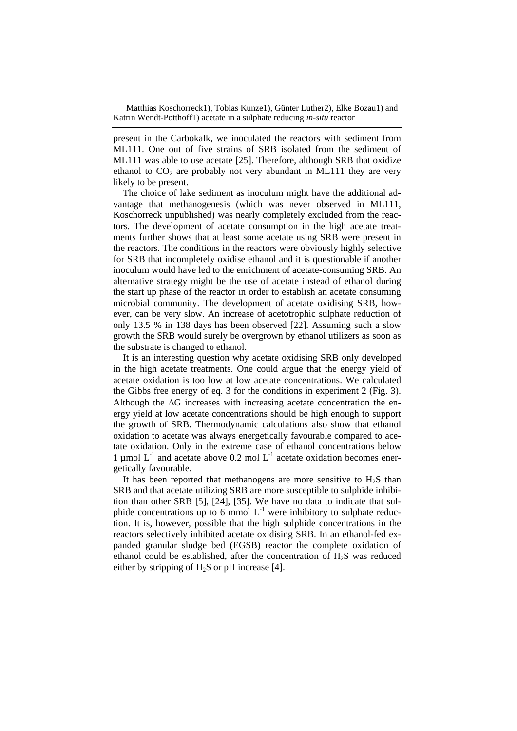present in the Carbokalk, we inoculated the reactors with sediment from ML111. One out of five strains of SRB isolated from the sediment of ML111 was able to use acetate [25]. Therefore, although SRB that oxidize ethanol to  $CO<sub>2</sub>$  are probably not very abundant in ML111 they are very likely to be present.

The choice of lake sediment as inoculum might have the additional advantage that methanogenesis (which was never observed in ML111, Koschorreck unpublished) was nearly completely excluded from the reactors. The development of acetate consumption in the high acetate treatments further shows that at least some acetate using SRB were present in the reactors. The conditions in the reactors were obviously highly selective for SRB that incompletely oxidise ethanol and it is questionable if another inoculum would have led to the enrichment of acetate-consuming SRB. An alternative strategy might be the use of acetate instead of ethanol during the start up phase of the reactor in order to establish an acetate consuming microbial community. The development of acetate oxidising SRB, however, can be very slow. An increase of acetotrophic sulphate reduction of only 13.5 % in 138 days has been observed [22]. Assuming such a slow growth the SRB would surely be overgrown by ethanol utilizers as soon as the substrate is changed to ethanol.

It is an interesting question why acetate oxidising SRB only developed in the high acetate treatments. One could argue that the energy yield of acetate oxidation is too low at low acetate concentrations. We calculated the Gibbs free energy of eq. 3 for the conditions in experiment 2 (Fig. 3). Although the  $\Delta G$  increases with increasing acetate concentration the energy yield at low acetate concentrations should be high enough to support the growth of SRB. Thermodynamic calculations also show that ethanol oxidation to acetate was always energetically favourable compared to acetate oxidation. Only in the extreme case of ethanol concentrations below 1 µmol  $L^{-1}$  and acetate above 0.2 mol  $L^{-1}$  acetate oxidation becomes energetically favourable.

It has been reported that methanogens are more sensitive to  $H<sub>2</sub>S$  than SRB and that acetate utilizing SRB are more susceptible to sulphide inhibition than other SRB [5], [24], [35]. We have no data to indicate that sulphide concentrations up to 6 mmol  $L^{-1}$  were inhibitory to sulphate reduction. It is, however, possible that the high sulphide concentrations in the reactors selectively inhibited acetate oxidising SRB. In an ethanol-fed expanded granular sludge bed (EGSB) reactor the complete oxidation of ethanol could be established, after the concentration of H2S was reduced either by stripping of  $H_2S$  or pH increase [4].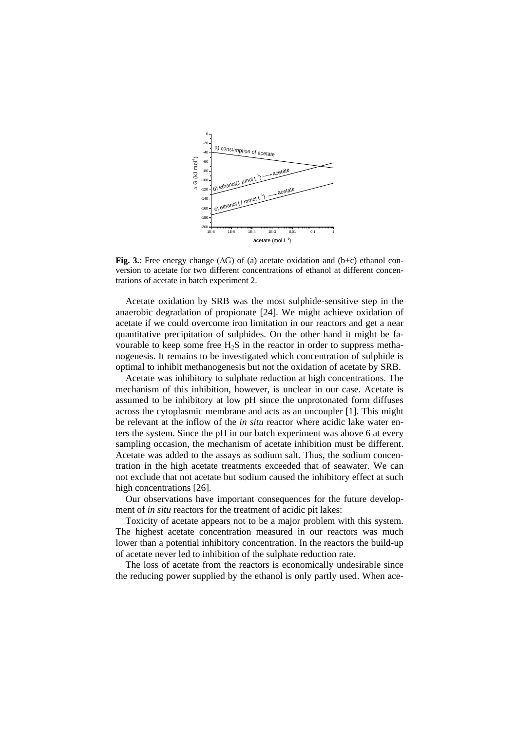

**Fig. 3.**: Free energy change  $( \Delta G)$  of (a) acetate oxidation and  $(b+c)$  ethanol conversion to acetate for two different concentrations of ethanol at different concentrations of acetate in batch experiment 2.

Acetate oxidation by SRB was the most sulphide-sensitive step in the anaerobic degradation of propionate [24]. We might achieve oxidation of acetate if we could overcome iron limitation in our reactors and get a near quantitative precipitation of sulphides. On the other hand it might be favourable to keep some free  $H_2S$  in the reactor in order to suppress methanogenesis. It remains to be investigated which concentration of sulphide is optimal to inhibit methanogenesis but not the oxidation of acetate by SRB.

Acetate was inhibitory to sulphate reduction at high concentrations. The mechanism of this inhibition, however, is unclear in our case. Acetate is assumed to be inhibitory at low pH since the unprotonated form diffuses across the cytoplasmic membrane and acts as an uncoupler [1]. This might be relevant at the inflow of the *in situ* reactor where acidic lake water enters the system. Since the pH in our batch experiment was above 6 at every sampling occasion, the mechanism of acetate inhibition must be different. Acetate was added to the assays as sodium salt. Thus, the sodium concentration in the high acetate treatments exceeded that of seawater. We can not exclude that not acetate but sodium caused the inhibitory effect at such high concentrations [26].

Our observations have important consequences for the future development of *in situ* reactors for the treatment of acidic pit lakes:

Toxicity of acetate appears not to be a major problem with this system. The highest acetate concentration measured in our reactors was much lower than a potential inhibitory concentration. In the reactors the build-up of acetate never led to inhibition of the sulphate reduction rate.

The loss of acetate from the reactors is economically undesirable since the reducing power supplied by the ethanol is only partly used. When ace-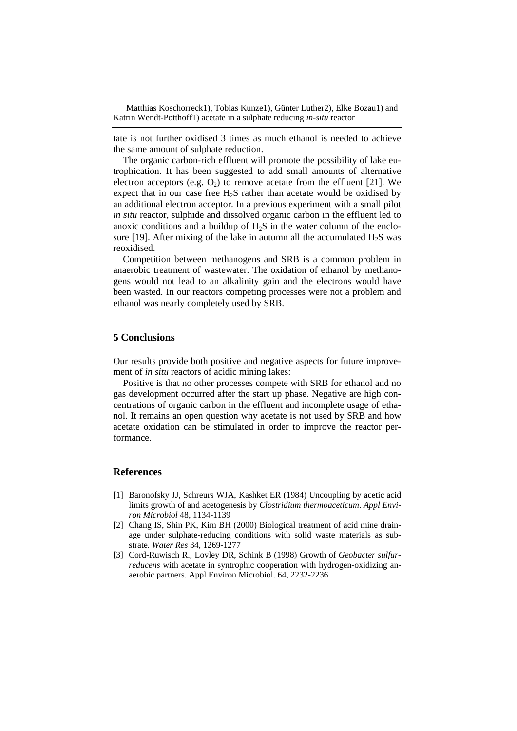tate is not further oxidised 3 times as much ethanol is needed to achieve the same amount of sulphate reduction.

The organic carbon-rich effluent will promote the possibility of lake eutrophication. It has been suggested to add small amounts of alternative electron acceptors (e.g.  $O_2$ ) to remove acetate from the effluent [21]. We expect that in our case free  $H_2S$  rather than acetate would be oxidised by an additional electron acceptor. In a previous experiment with a small pilot *in situ* reactor, sulphide and dissolved organic carbon in the effluent led to anoxic conditions and a buildup of  $H_2S$  in the water column of the enclosure [19]. After mixing of the lake in autumn all the accumulated  $H_2S$  was reoxidised.

Competition between methanogens and SRB is a common problem in anaerobic treatment of wastewater. The oxidation of ethanol by methanogens would not lead to an alkalinity gain and the electrons would have been wasted. In our reactors competing processes were not a problem and ethanol was nearly completely used by SRB.

# **5 Conclusions**

Our results provide both positive and negative aspects for future improvement of *in situ* reactors of acidic mining lakes:

Positive is that no other processes compete with SRB for ethanol and no gas development occurred after the start up phase. Negative are high concentrations of organic carbon in the effluent and incomplete usage of ethanol. It remains an open question why acetate is not used by SRB and how acetate oxidation can be stimulated in order to improve the reactor performance.

## **References**

- [1] Baronofsky JJ, Schreurs WJA, Kashket ER (1984) Uncoupling by acetic acid limits growth of and acetogenesis by *Clostridium thermoaceticum*. *Appl Environ Microbiol* 48, 1134-1139
- [2] Chang IS, Shin PK, Kim BH (2000) Biological treatment of acid mine drainage under sulphate-reducing conditions with solid waste materials as substrate. *Water Res* 34, 1269-1277
- [3] Cord-Ruwisch R., Lovley DR, Schink B (1998) Growth of *Geobacter sulfurreducens* with acetate in syntrophic cooperation with hydrogen-oxidizing anaerobic partners. Appl Environ Microbiol. 64, 2232-2236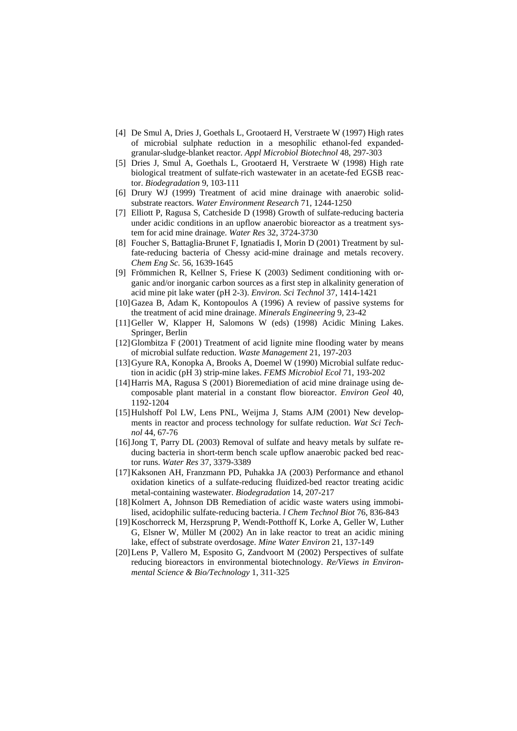- [4] De Smul A, Dries J, Goethals L, Grootaerd H, Verstraete W (1997) High rates of microbial sulphate reduction in a mesophilic ethanol-fed expandedgranular-sludge-blanket reactor. *Appl Microbiol Biotechnol* 48, 297-303
- [5] Dries J, Smul A, Goethals L, Grootaerd H, Verstraete W (1998) High rate biological treatment of sulfate-rich wastewater in an acetate-fed EGSB reactor. *Biodegradation* 9, 103-111
- [6] Drury WJ (1999) Treatment of acid mine drainage with anaerobic solidsubstrate reactors. *Water Environment Research* 71, 1244-1250
- [7] Elliott P, Ragusa S, Catcheside D (1998) Growth of sulfate-reducing bacteria under acidic conditions in an upflow anaerobic bioreactor as a treatment system for acid mine drainage. *Water Res* 32, 3724-3730
- [8] Foucher S, Battaglia-Brunet F, Ignatiadis I, Morin D (2001) Treatment by sulfate-reducing bacteria of Chessy acid-mine drainage and metals recovery. *Chem Eng Sc.* 56, 1639-1645
- [9] Frömmichen R, Kellner S, Friese K (2003) Sediment conditioning with organic and/or inorganic carbon sources as a first step in alkalinity generation of acid mine pit lake water (pH 2-3). *Environ. Sci Technol* 37, 1414-1421
- [10]Gazea B, Adam K, Kontopoulos A (1996) A review of passive systems for the treatment of acid mine drainage. *Minerals Engineering* 9, 23-42
- [11]Geller W, Klapper H, Salomons W (eds) (1998) Acidic Mining Lakes. Springer, Berlin
- [12]Glombitza F (2001) Treatment of acid lignite mine flooding water by means of microbial sulfate reduction. *Waste Management* 21, 197-203
- [13]Gyure RA, Konopka A, Brooks A, Doemel W (1990) Microbial sulfate reduction in acidic (pH 3) strip-mine lakes. *FEMS Microbiol Ecol* 71, 193-202
- [14]Harris MA, Ragusa S (2001) Bioremediation of acid mine drainage using decomposable plant material in a constant flow bioreactor. *Environ Geol* 40, 1192-1204
- [15] Hulshoff Pol LW, Lens PNL, Weijma J, Stams AJM (2001) New developments in reactor and process technology for sulfate reduction. *Wat Sci Technol* 44, 67-76
- [16]Jong T, Parry DL (2003) Removal of sulfate and heavy metals by sulfate reducing bacteria in short-term bench scale upflow anaerobic packed bed reactor runs. *Water Res* 37, 3379-3389
- [17]Kaksonen AH, Franzmann PD, Puhakka JA (2003) Performance and ethanol oxidation kinetics of a sulfate-reducing fluidized-bed reactor treating acidic metal-containing wastewater. *Biodegradation* 14, 207-217
- [18] Kolmert A, Johnson DB Remediation of acidic waste waters using immobilised, acidophilic sulfate-reducing bacteria. *l Chem Technol Biot* 76, 836-843
- [19]Koschorreck M, Herzsprung P, Wendt-Potthoff K, Lorke A, Geller W, Luther G, Elsner W, Müller M (2002) An in lake reactor to treat an acidic mining lake, effect of substrate overdosage. *Mine Water Environ* 21, 137-149
- [20]Lens P, Vallero M, Esposito G, Zandvoort M (2002) Perspectives of sulfate reducing bioreactors in environmental biotechnology. *Re/Views in Environmental Science & Bio/Technology* 1, 311-325